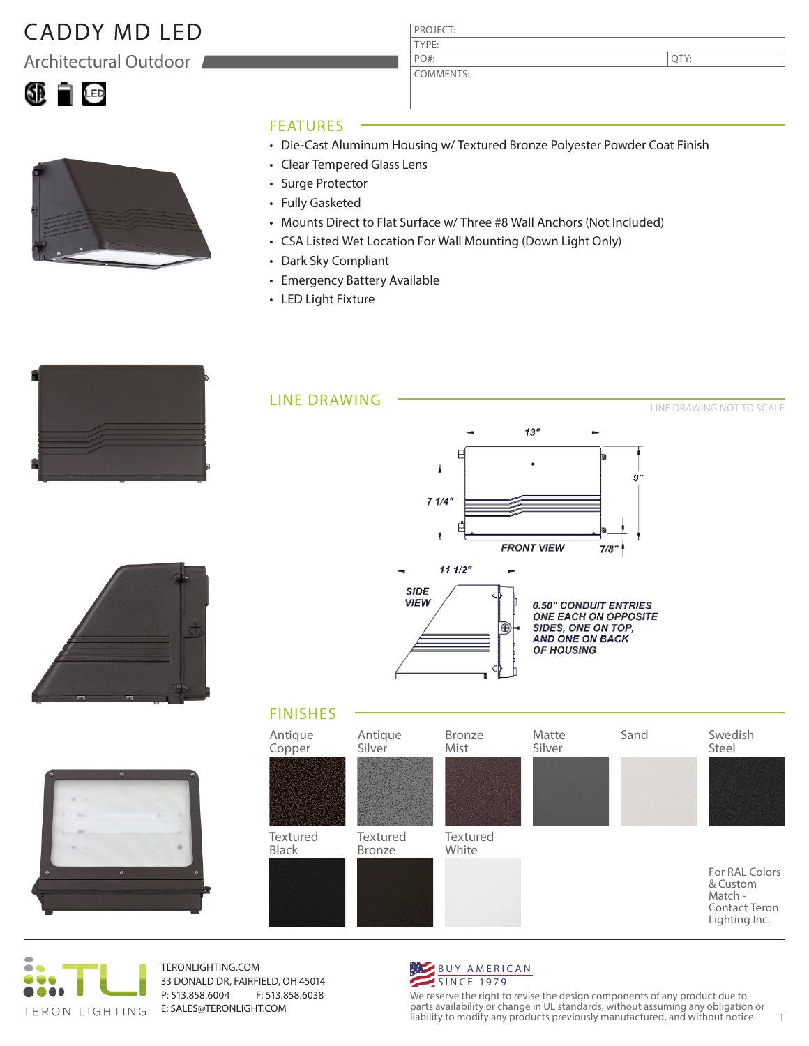# CADDY MD LED

Architectural Outdoor





QTY:

### FEATURES

- Die-Cast Aluminum Housing w/ Textured Bronze Polyester Powder Coat Finish
- Clear Tempered Glass Lens
- Surge Protector
- Fully Gasketed
- Mounts Direct to Flat Surface w/ Three #8 Wall Anchors (Not Included)
- CSA Listed Wet Location For Wall Mounting (Down Light Only)

PROJECT: TYPE:

PO#:

COMMENTS:

- Dark Sky Compliant
- Emergency Battery Available
- LED Light Fixture













TERONLIGHTING.COM 33 DONALD DR, FAIRFIELD, OH 45014 P: 513.858.6004 F: 513.858.6038 E: SALES@TERONLIGHT.COM



We reserve the right to revise the design components of any product due to parts availability or change in UL standards, without assuming any obligation or liability to modify any products previously manufactured, and without notice. 1